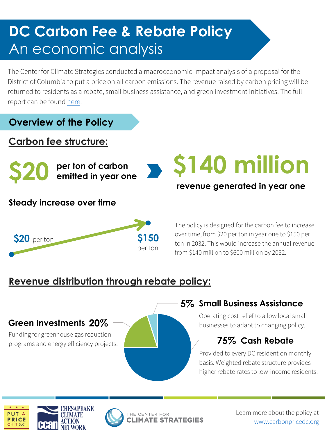# **DC Carbon Fee & Rebate Policy** An economic analysis

The Center for Climate Strategies conducted a macroeconomic-impact analysis of a proposal for the District of Columbia to put a price on all carbon emissions. The revenue raised by carbon pricing will be returned to residents as a rebate, small business assistance, and green investment initiatives. The full report can be found [here.](http://www.climatestrategies.us/library/library/view/1212)

#### **Overview of the Policy**

#### **Carbon fee structure:**

**\$20 per ton of carbon**

#### **Steady increase over time**



The policy is designed for the carbon fee to increase over time, from \$20 per ton in year one to \$150 per ton in 2032. This would increase the annual revenue

from \$140 million to \$600 million by 2032.

**emitted in year one \$140 million**

**revenue generated in year one**

# **Revenue distribution through rebate policy:**

#### **20% Green Investments**

Funding for greenhouse gas reduction programs and energy efficiency projects.

#### **5% Small Business Assistance**

Operating cost relief to allow local small businesses to adapt to changing policy.

## **75% Cash Rebate**

Provided to every DC resident on monthly basis. Weighted rebate structure provides higher rebate rates to low-income residents.





Learn more about the policy at [www.carbonpricedc.org](http://www.carbonpricedc.org/)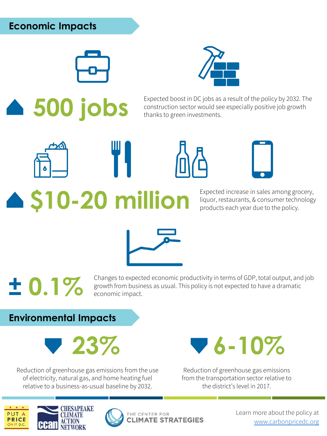## **Economic Impacts**



Expected boost in DC jobs as a result of the policy by 2032. The<br> **500 jobs** construction sector would see especially positive job growth<br>
thanks to green investments. construction sector would see especially positive job growth thanks to green investments.



**\$10-20 million** Expected increase in sales among grocery, liquor, restaurants, & consumer technology products each year due to the policy.



**thanges to expected economic productivity in terms of GDP, total output, and job**<br>growth from business as usual. This policy is not expected to have a dramatic<br>economic impact. growth from business as usual. This policy is not expected to have a dramatic economic impact.

**Environmental Impacts**



Reduction of greenhouse gas emissions from the use of electricity, natural gas, and home heating fuel relative to a business-as-usual baseline by 2032.



Reduction of greenhouse gas emissions from the transportation sector relative to the district's level in 2017.





Learn more about the policy at [www.carbonpricedc.org](http://www.carbonpricedc.org/)